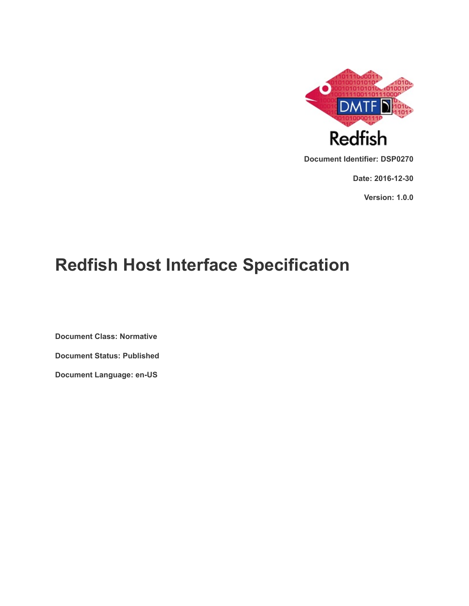

**Document Identifier: DSP0270**

**Date: 2016-12-30**

**Version: 1.0.0**

# **Redfish Host Interface Specification**

**Document Class: Normative**

**Document Status: Published**

**Document Language: en-US**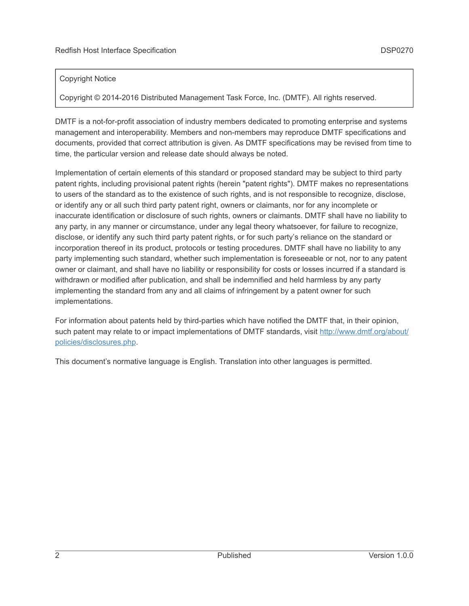#### Copyright Notice

Copyright © 2014-2016 Distributed Management Task Force, Inc. (DMTF). All rights reserved.

DMTF is a not-for-profit association of industry members dedicated to promoting enterprise and systems management and interoperability. Members and non-members may reproduce DMTF specifications and documents, provided that correct attribution is given. As DMTF specifications may be revised from time to time, the particular version and release date should always be noted.

Implementation of certain elements of this standard or proposed standard may be subject to third party patent rights, including provisional patent rights (herein "patent rights"). DMTF makes no representations to users of the standard as to the existence of such rights, and is not responsible to recognize, disclose, or identify any or all such third party patent right, owners or claimants, nor for any incomplete or inaccurate identification or disclosure of such rights, owners or claimants. DMTF shall have no liability to any party, in any manner or circumstance, under any legal theory whatsoever, for failure to recognize, disclose, or identify any such third party patent rights, or for such party's reliance on the standard or incorporation thereof in its product, protocols or testing procedures. DMTF shall have no liability to any party implementing such standard, whether such implementation is foreseeable or not, nor to any patent owner or claimant, and shall have no liability or responsibility for costs or losses incurred if a standard is withdrawn or modified after publication, and shall be indemnified and held harmless by any party implementing the standard from any and all claims of infringement by a patent owner for such implementations.

For information about patents held by third-parties which have notified the DMTF that, in their opinion, such patent may relate to or impact implementations of DMTF standards, visit [http://www.dmtf.org/about/](http://www.dmtf.org/about/policies/disclosures.php) [policies/disclosures.php.](http://www.dmtf.org/about/policies/disclosures.php)

This document's normative language is English. Translation into other languages is permitted.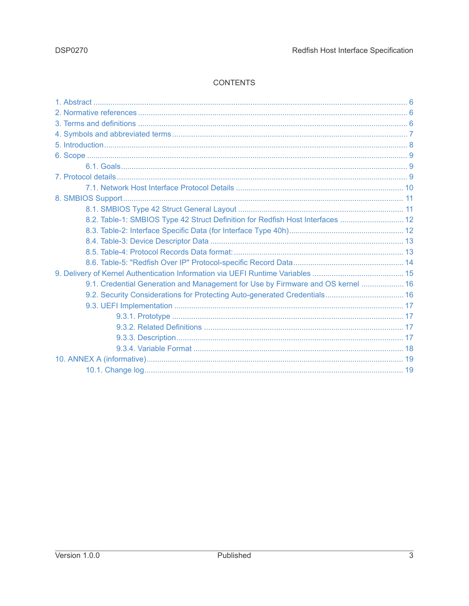#### **CONTENTS**

| 8.2. Table-1: SMBIOS Type 42 Struct Definition for Redfish Host Interfaces  12  |  |
|---------------------------------------------------------------------------------|--|
|                                                                                 |  |
|                                                                                 |  |
|                                                                                 |  |
|                                                                                 |  |
|                                                                                 |  |
| 9.1. Credential Generation and Management for Use by Firmware and OS kernel  16 |  |
| 9.2. Security Considerations for Protecting Auto-generated Credentials 16       |  |
|                                                                                 |  |
|                                                                                 |  |
|                                                                                 |  |
|                                                                                 |  |
|                                                                                 |  |
|                                                                                 |  |
|                                                                                 |  |
|                                                                                 |  |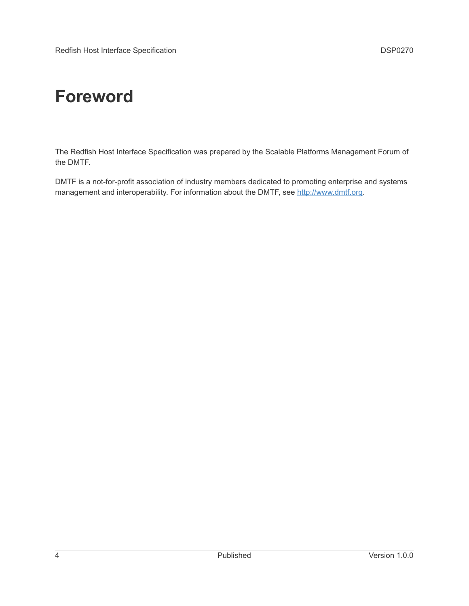# **Foreword**

The Redfish Host Interface Specification was prepared by the Scalable Platforms Management Forum of the DMTF.

DMTF is a not-for-profit association of industry members dedicated to promoting enterprise and systems management and interoperability. For information about the DMTF, see [http://www.dmtf.org.](http://www.dmtf.org)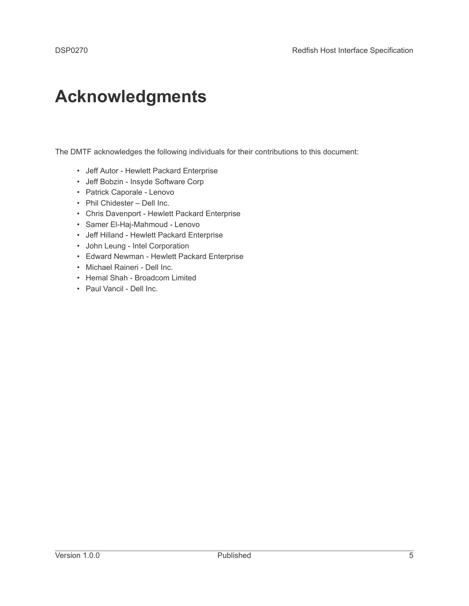# **Acknowledgments**

The DMTF acknowledges the following individuals for their contributions to this document:

- Jeff Autor Hewlett Packard Enterprise
- Jeff Bobzin Insyde Software Corp
- Patrick Caporale Lenovo
- Phil Chidester Dell Inc.
- Chris Davenport Hewlett Packard Enterprise
- Samer El-Haj-Mahmoud Lenovo
- Jeff Hilland Hewlett Packard Enterprise
- John Leung Intel Corporation
- Edward Newman Hewlett Packard Enterprise
- Michael Raineri Dell Inc.
- Hemal Shah Broadcom Limited
- Paul Vancil Dell Inc.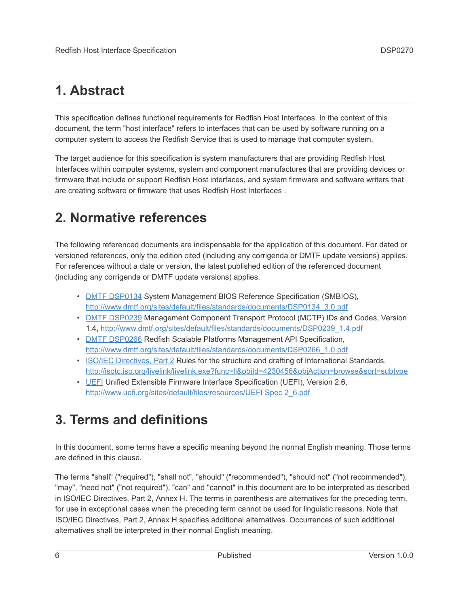## <span id="page-5-0"></span>**1. Abstract**

This specification defines functional requirements for Redfish Host Interfaces. In the context of this document, the term "host interface" refers to interfaces that can be used by software running on a computer system to access the Redfish Service that is used to manage that computer system.

The target audience for this specification is system manufacturers that are providing Redfish Host Interfaces within computer systems, system and component manufactures that are providing devices or firmware that include or support Redfish Host interfaces, and system firmware and software writers that are creating software or firmware that uses Redfish Host Interfaces .

## <span id="page-5-1"></span>**2. Normative references**

<span id="page-5-3"></span>The following referenced documents are indispensable for the application of this document. For dated or versioned references, only the edition cited (including any corrigenda or DMTF update versions) applies. For references without a date or version, the latest published edition of the referenced document (including any corrigenda or DMTF update versions) applies.

- DMTF DSP0134 System Management BIOS Reference Specification (SMBIOS), [http://www.dmtf.org/sites/default/files/standards/documents/DSP0134\\_3.0.pdf](http://www.dmtf.org/sites/default/files/standards/documents/DSP0134_3.0.0.pdf)
- DMTF DSP0239 Management Component Transport Protocol (MCTP) IDs and Codes, Version 1.4, [http://www.dmtf.org/sites/default/files/standards/documents/DSP0239\\_1.4.pdf](http://www.dmtf.org/sites/default/files/standards/documents/DSP0239_1.4.0.pdf)
- DMTF DSP0266 Redfish Scalable Platforms Management API Specification, [http://www.dmtf.org/sites/default/files/standards/documents/DSP0266\\_1.0.pdf](http://www.dmtf.org/sites/default/files/standards/documents/DSP0266_1.0.pdf)
- ISO/IEC Directives, Part 2 Rules for the structure and drafting of International Standards, <http://isotc.iso.org/livelink/livelink.exe?func=ll&objId=4230456&objAction=browse&sort=subtype>
- UEFI Unified Extensible Firmware Interface Specification (UEFI), Version 2.6, [http://www.uefi.org/sites/default/files/resources/UEFI Spec 2\\_6.pdf](http://www.uefi.org/sites/default/files/resources/UEFI%20Spec%202_6.pdf)

## <span id="page-5-2"></span>**3. Terms and definitions**

In this document, some terms have a specific meaning beyond the normal English meaning. Those terms are defined in this clause.

The terms "shall" ("required"), "shall not", "should" ("recommended"), "should not" ("not recommended"), "may", "need not" ("not required"), "can" and "cannot" in this document are to be interpreted as described in ISO/IEC Directives, Part 2, Annex H. The terms in parenthesis are alternatives for the preceding term, for use in exceptional cases when the preceding term cannot be used for linguistic reasons. Note that ISO/IEC Directives, Part 2, Annex H specifies additional alternatives. Occurrences of such additional alternatives shall be interpreted in their normal English meaning.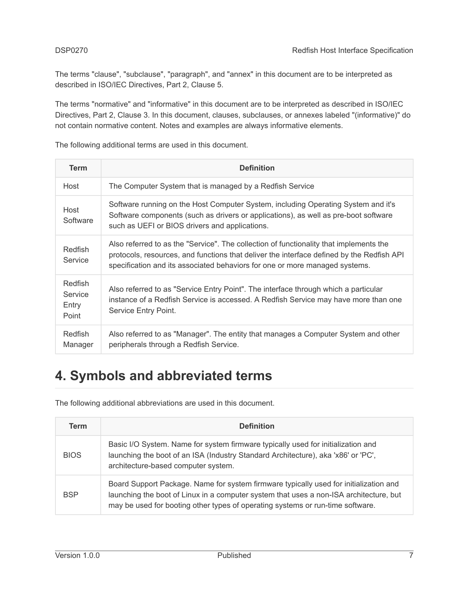The terms "clause", "subclause", "paragraph", and "annex" in this document are to be interpreted as described in ISO/IEC Directives, Part 2, Clause 5.

The terms "normative" and "informative" in this document are to be interpreted as described in ISO/IEC Directives, Part 2, Clause 3. In this document, clauses, subclauses, or annexes labeled "(informative)" do not contain normative content. Notes and examples are always informative elements.

The following additional terms are used in this document.

| Term                                        | <b>Definition</b>                                                                                                                                                                                                                                                  |
|---------------------------------------------|--------------------------------------------------------------------------------------------------------------------------------------------------------------------------------------------------------------------------------------------------------------------|
| Host                                        | The Computer System that is managed by a Redfish Service                                                                                                                                                                                                           |
| Host<br>Software                            | Software running on the Host Computer System, including Operating System and it's<br>Software components (such as drivers or applications), as well as pre-boot software<br>such as UEFI or BIOS drivers and applications.                                         |
| <b>Redfish</b><br>Service                   | Also referred to as the "Service". The collection of functionality that implements the<br>protocols, resources, and functions that deliver the interface defined by the Redfish API<br>specification and its associated behaviors for one or more managed systems. |
| <b>Redfish</b><br>Service<br>Entry<br>Point | Also referred to as "Service Entry Point". The interface through which a particular<br>instance of a Redfish Service is accessed. A Redfish Service may have more than one<br>Service Entry Point.                                                                 |
| <b>Redfish</b><br>Manager                   | Also referred to as "Manager". The entity that manages a Computer System and other<br>peripherals through a Redfish Service.                                                                                                                                       |

## <span id="page-6-0"></span>**4. Symbols and abbreviated terms**

The following additional abbreviations are used in this document.

| Term        | <b>Definition</b>                                                                                                                                                                                                                                                 |
|-------------|-------------------------------------------------------------------------------------------------------------------------------------------------------------------------------------------------------------------------------------------------------------------|
| <b>BIOS</b> | Basic I/O System. Name for system firmware typically used for initialization and<br>launching the boot of an ISA (Industry Standard Architecture), aka 'x86' or 'PC',<br>architecture-based computer system.                                                      |
| <b>BSP</b>  | Board Support Package. Name for system firmware typically used for initialization and<br>launching the boot of Linux in a computer system that uses a non-ISA architecture, but<br>may be used for booting other types of operating systems or run-time software. |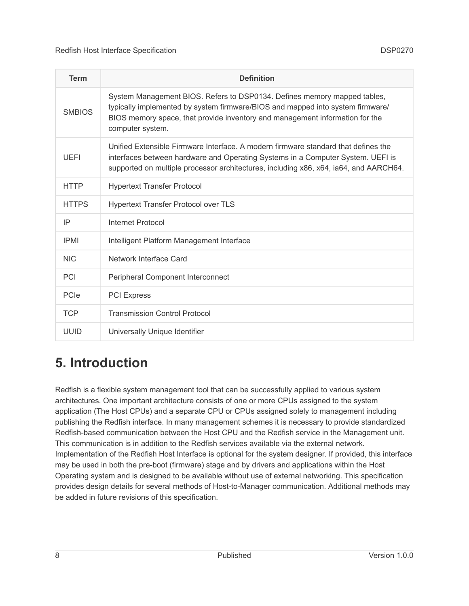| <b>Term</b>   | <b>Definition</b>                                                                                                                                                                                                                                              |
|---------------|----------------------------------------------------------------------------------------------------------------------------------------------------------------------------------------------------------------------------------------------------------------|
| <b>SMBIOS</b> | System Management BIOS. Refers to DSP0134. Defines memory mapped tables,<br>typically implemented by system firmware/BIOS and mapped into system firmware/<br>BIOS memory space, that provide inventory and management information for the<br>computer system. |
| UEFI          | Unified Extensible Firmware Interface. A modern firmware standard that defines the<br>interfaces between hardware and Operating Systems in a Computer System. UEFI is<br>supported on multiple processor architectures, including x86, x64, ia64, and AARCH64. |
| <b>HTTP</b>   | <b>Hypertext Transfer Protocol</b>                                                                                                                                                                                                                             |
| <b>HTTPS</b>  | <b>Hypertext Transfer Protocol over TLS</b>                                                                                                                                                                                                                    |
| IP            | Internet Protocol                                                                                                                                                                                                                                              |
| <b>IPMI</b>   | Intelligent Platform Management Interface                                                                                                                                                                                                                      |
| <b>NIC</b>    | Network Interface Card                                                                                                                                                                                                                                         |
| <b>PCI</b>    | Peripheral Component Interconnect                                                                                                                                                                                                                              |
| PCIe          | <b>PCI Express</b>                                                                                                                                                                                                                                             |
| <b>TCP</b>    | <b>Transmission Control Protocol</b>                                                                                                                                                                                                                           |
| <b>UUID</b>   | Universally Unique Identifier                                                                                                                                                                                                                                  |

# <span id="page-7-0"></span>**5. Introduction**

Redfish is a flexible system management tool that can be successfully applied to various system architectures. One important architecture consists of one or more CPUs assigned to the system application (The Host CPUs) and a separate CPU or CPUs assigned solely to management including publishing the Redfish interface. In many management schemes it is necessary to provide standardized Redfish-based communication between the Host CPU and the Redfish service in the Management unit. This communication is in addition to the Redfish services available via the external network. Implementation of the Redfish Host Interface is optional for the system designer. If provided, this interface may be used in both the pre-boot (firmware) stage and by drivers and applications within the Host Operating system and is designed to be available without use of external networking. This specification provides design details for several methods of Host-to-Manager communication. Additional methods may be added in future revisions of this specification.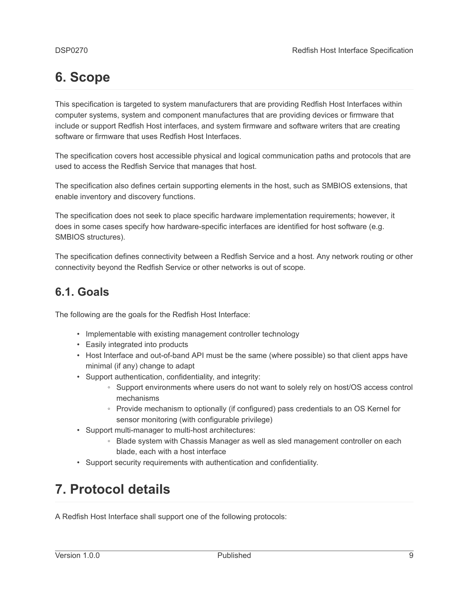# <span id="page-8-0"></span>**6. Scope**

This specification is targeted to system manufacturers that are providing Redfish Host Interfaces within computer systems, system and component manufactures that are providing devices or firmware that include or support Redfish Host interfaces, and system firmware and software writers that are creating software or firmware that uses Redfish Host Interfaces.

The specification covers host accessible physical and logical communication paths and protocols that are used to access the Redfish Service that manages that host.

The specification also defines certain supporting elements in the host, such as SMBIOS extensions, that enable inventory and discovery functions.

The specification does not seek to place specific hardware implementation requirements; however, it does in some cases specify how hardware-specific interfaces are identified for host software (e.g. SMBIOS structures).

The specification defines connectivity between a Redfish Service and a host. Any network routing or other connectivity beyond the Redfish Service or other networks is out of scope.

#### <span id="page-8-1"></span>**6.1. Goals**

The following are the goals for the Redfish Host Interface:

- Implementable with existing management controller technology
- Easily integrated into products
- Host Interface and out-of-band API must be the same (where possible) so that client apps have minimal (if any) change to adapt
- Support authentication, confidentiality, and integrity:
	- Support environments where users do not want to solely rely on host/OS access control mechanisms
	- Provide mechanism to optionally (if configured) pass credentials to an OS Kernel for sensor monitoring (with configurable privilege)
- Support multi-manager to multi-host architectures:
	- Blade system with Chassis Manager as well as sled management controller on each blade, each with a host interface
- Support security requirements with authentication and confidentiality.

## <span id="page-8-2"></span>**7. Protocol details**

A Redfish Host Interface shall support one of the following protocols: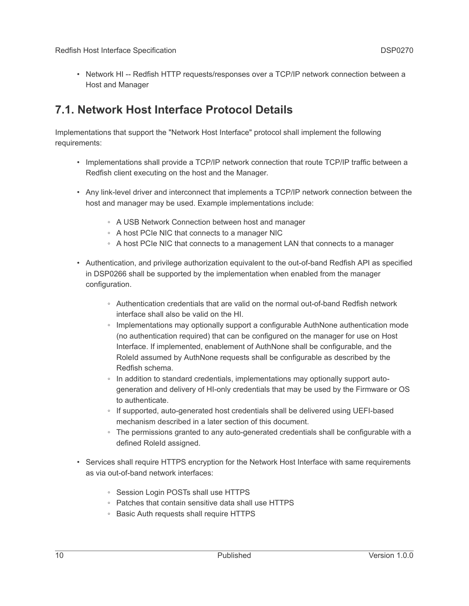• Network HI -- Redfish HTTP requests/responses over a TCP/IP network connection between a Host and Manager

### <span id="page-9-0"></span>**7.1. Network Host Interface Protocol Details**

Implementations that support the "Network Host Interface" protocol shall implement the following requirements:

- Implementations shall provide a TCP/IP network connection that route TCP/IP traffic between a Redfish client executing on the host and the Manager.
- Any link-level driver and interconnect that implements a TCP/IP network connection between the host and manager may be used. Example implementations include:
	- A USB Network Connection between host and manager
	- A host PCIe NIC that connects to a manager NIC
	- A host PCIe NIC that connects to a management LAN that connects to a manager
- Authentication, and privilege authorization equivalent to the out-of-band Redfish API as specified in DSP0266 shall be supported by the implementation when enabled from the manager configuration.
	- Authentication credentials that are valid on the normal out-of-band Redfish network interface shall also be valid on the HI.
	- Implementations may optionally support a configurable AuthNone authentication mode (no authentication required) that can be configured on the manager for use on Host Interface. If implemented, enablement of AuthNone shall be configurable, and the RoleId assumed by AuthNone requests shall be configurable as described by the Redfish schema.
	- In addition to standard credentials, implementations may optionally support autogeneration and delivery of HI-only credentials that may be used by the Firmware or OS to authenticate.
	- If supported, auto-generated host credentials shall be delivered using UEFI-based mechanism described in a later section of this document.
	- The permissions granted to any auto-generated credentials shall be configurable with a defined RoleId assigned.
- Services shall require HTTPS encryption for the Network Host Interface with same requirements as via out-of-band network interfaces:
	- Session Login POSTs shall use HTTPS
	- Patches that contain sensitive data shall use HTTPS
	- Basic Auth requests shall require HTTPS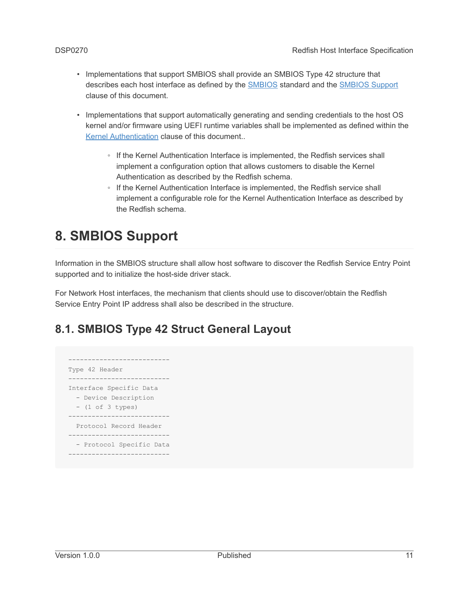- Implementations that support SMBIOS shall provide an SMBIOS Type 42 structure that describes each host interface as defined by the [SMBIOS](#page-5-3) standard and the [SMBIOS Support](#page-10-0) clause of this document.
- Implementations that support automatically generating and sending credentials to the host OS kernel and/or firmware using UEFI runtime variables shall be implemented as defined within the [Kernel Authentication](#page-14-0) clause of this document..
	- If the Kernel Authentication Interface is implemented, the Redfish services shall implement a configuration option that allows customers to disable the Kernel Authentication as described by the Redfish schema.
	- If the Kernel Authentication Interface is implemented, the Redfish service shall implement a configurable role for the Kernel Authentication Interface as described by the Redfish schema.

## <span id="page-10-0"></span>**8. SMBIOS Support**

Information in the SMBIOS structure shall allow host software to discover the Redfish Service Entry Point supported and to initialize the host-side driver stack.

For Network Host interfaces, the mechanism that clients should use to discover/obtain the Redfish Service Entry Point IP address shall also be described in the structure.

#### <span id="page-10-1"></span>**8.1. SMBIOS Type 42 Struct General Layout**

```
--------------------------
Type 42 Header
--------------------------
Interface Specific Data
  - Device Description
  - (1 of 3 types)
--------------------------
  Protocol Record Header
--------------------------
  - Protocol Specific Data
--------------------------
```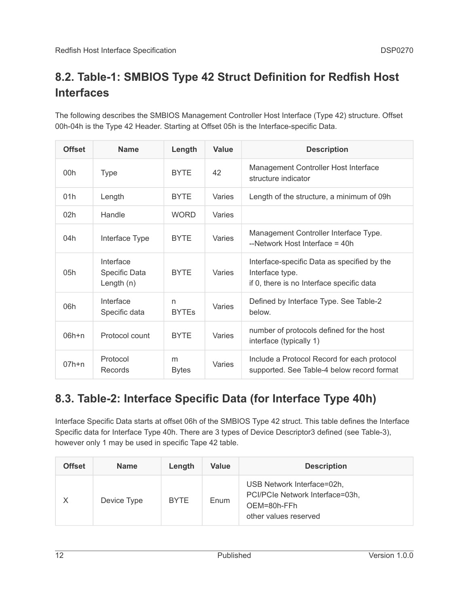## <span id="page-11-0"></span>**8.2. Table-1: SMBIOS Type 42 Struct Definition for Redfish Host Interfaces**

The following describes the SMBIOS Management Controller Host Interface (Type 42) structure. Offset 00h-04h is the Type 42 Header. Starting at Offset 05h is the Interface-specific Data.

| <b>Offset</b> | <b>Name</b>                              | Length            | Value  | <b>Description</b>                                                                                          |
|---------------|------------------------------------------|-------------------|--------|-------------------------------------------------------------------------------------------------------------|
| 00h           | <b>Type</b>                              | <b>BYTE</b>       | 42     | Management Controller Host Interface<br>structure indicator                                                 |
| 01h           | Length                                   | <b>BYTE</b>       | Varies | Length of the structure, a minimum of 09h                                                                   |
| 02h           | Handle                                   | <b>WORD</b>       | Varies |                                                                                                             |
| 04h           | Interface Type                           | <b>BYTE</b>       | Varies | Management Controller Interface Type.<br>--Network Host Interface $=$ 40h                                   |
| 05h           | Interface<br>Specific Data<br>Length (n) | <b>BYTE</b>       | Varies | Interface-specific Data as specified by the<br>Interface type.<br>if 0, there is no Interface specific data |
| 06h           | Interface<br>Specific data               | n<br><b>BYTEs</b> | Varies | Defined by Interface Type. See Table-2<br>below.                                                            |
| $06h+n$       | Protocol count                           | <b>BYTE</b>       | Varies | number of protocols defined for the host<br>interface (typically 1)                                         |
| $07h+n$       | Protocol<br>Records                      | m<br><b>Bytes</b> | Varies | Include a Protocol Record for each protocol<br>supported. See Table-4 below record format                   |

## <span id="page-11-1"></span>**8.3. Table-2: Interface Specific Data (for Interface Type 40h)**

Interface Specific Data starts at offset 06h of the SMBIOS Type 42 struct. This table defines the Interface Specific data for Interface Type 40h. There are 3 types of Device Descriptor3 defined (see Table-3), however only 1 may be used in specific Tape 42 table.

| <b>Offset</b> | <b>Name</b> | Length      | <b>Value</b> | <b>Description</b>                                                                                    |
|---------------|-------------|-------------|--------------|-------------------------------------------------------------------------------------------------------|
|               | Device Type | <b>BYTE</b> | Enum         | USB Network Interface=02h,<br>PCI/PCIe Network Interface=03h,<br>OEM=80h-FFh<br>other values reserved |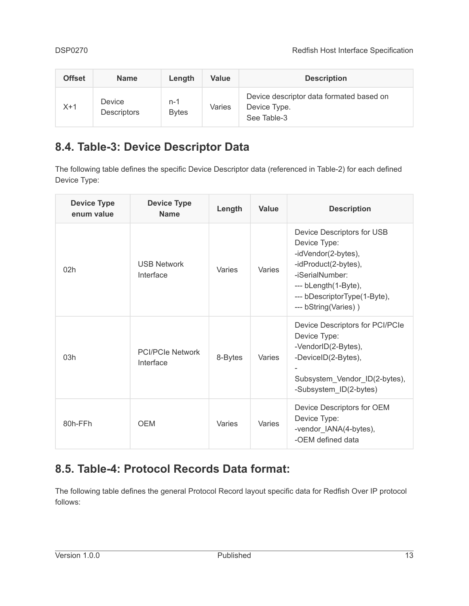| <b>Offset</b> | <b>Name</b>                  | Length                | Value  | <b>Description</b>                                                      |
|---------------|------------------------------|-----------------------|--------|-------------------------------------------------------------------------|
| $X+1$         | Device<br><b>Descriptors</b> | $n-1$<br><b>Bytes</b> | Varies | Device descriptor data formated based on<br>Device Type.<br>See Table-3 |

### <span id="page-12-0"></span>**8.4. Table-3: Device Descriptor Data**

The following table defines the specific Device Descriptor data (referenced in Table-2) for each defined Device Type:

| <b>Device Type</b><br>enum value | <b>Device Type</b><br><b>Name</b>    | Length  | Value  | <b>Description</b>                                                                                                                                                                           |
|----------------------------------|--------------------------------------|---------|--------|----------------------------------------------------------------------------------------------------------------------------------------------------------------------------------------------|
| 02h                              | <b>USB Network</b><br>Interface      | Varies  | Varies | Device Descriptors for USB<br>Device Type:<br>-idVendor(2-bytes),<br>-idProduct(2-bytes),<br>-iSerialNumber:<br>--- bLength(1-Byte),<br>--- bDescriptorType(1-Byte),<br>--- bString(Varies)) |
| 03h                              | <b>PCI/PCIe Network</b><br>Interface | 8-Bytes | Varies | Device Descriptors for PCI/PCIe<br>Device Type:<br>-VendorID(2-Bytes),<br>-DeviceID(2-Bytes),<br>Subsystem_Vendor_ID(2-bytes),<br>-Subsystem_ID(2-bytes)                                     |
| 80h-FFh                          | <b>OEM</b>                           | Varies  | Varies | Device Descriptors for OEM<br>Device Type:<br>-vendor_IANA(4-bytes),<br>-OEM defined data                                                                                                    |

## <span id="page-12-1"></span>**8.5. Table-4: Protocol Records Data format:**

The following table defines the general Protocol Record layout specific data for Redfish Over IP protocol follows: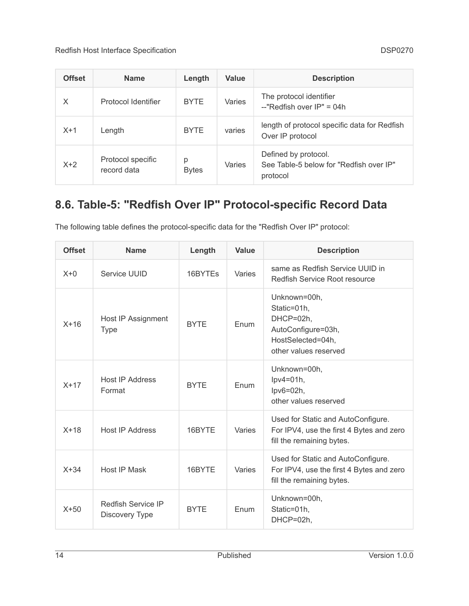| <b>Offset</b> | <b>Name</b>                      | Length            | Value  | <b>Description</b>                                                          |
|---------------|----------------------------------|-------------------|--------|-----------------------------------------------------------------------------|
| X             | Protocol Identifier              | <b>BYTE</b>       | Varies | The protocol identifier<br>--"Redfish over $IP" = 04h$                      |
| $X+1$         | Length                           | <b>BYTE</b>       | varies | length of protocol specific data for Redfish<br>Over IP protocol            |
| $X+2$         | Protocol specific<br>record data | р<br><b>Bytes</b> | Varies | Defined by protocol.<br>See Table-5 below for "Redfish over IP"<br>protocol |

## <span id="page-13-0"></span>**8.6. Table-5: "Redfish Over IP" Protocol-specific Record Data**

| The following table defines the protocol-specific data for the "Redfish Over IP" protocol: |  |
|--------------------------------------------------------------------------------------------|--|
|--------------------------------------------------------------------------------------------|--|

| <b>Offset</b> | <b>Name</b>                                 | Length              | <b>Value</b> | <b>Description</b>                                                                                           |
|---------------|---------------------------------------------|---------------------|--------------|--------------------------------------------------------------------------------------------------------------|
| $X+0$         | Service UUID                                | 16BYTE <sub>s</sub> | Varies       | same as Redfish Service UUID in<br>Redfish Service Root resource                                             |
| $X+16$        | Host IP Assignment<br><b>Type</b>           | <b>BYTE</b>         | Enum         | Unknown=00h,<br>Static=01h,<br>DHCP=02h,<br>AutoConfigure=03h,<br>HostSelected=04h,<br>other values reserved |
| $X+17$        | Host IP Address<br>Format                   | <b>BYTE</b>         | Enum         | Unknown=00h,<br>$lpv4=01h,$<br>$Ipv6=02h,$<br>other values reserved                                          |
| $X+18$        | Host IP Address                             | 16BYTE              | Varies       | Used for Static and AutoConfigure.<br>For IPV4, use the first 4 Bytes and zero<br>fill the remaining bytes.  |
| $X + 34$      | Host IP Mask                                | 16BYTE              | Varies       | Used for Static and AutoConfigure.<br>For IPV4, use the first 4 Bytes and zero<br>fill the remaining bytes.  |
| $X+50$        | <b>Redfish Service IP</b><br>Discovery Type | <b>BYTE</b>         | Enum         | Unknown=00h,<br>Static=01h,<br>DHCP=02h,                                                                     |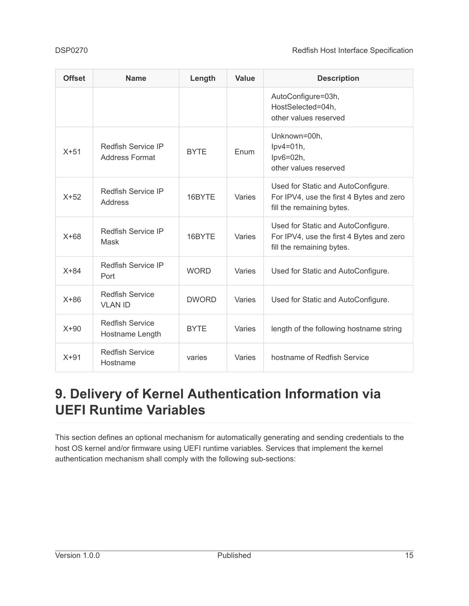| <b>Offset</b> | <b>Name</b>                                 | Length       | <b>Value</b> | <b>Description</b>                                                                                          |
|---------------|---------------------------------------------|--------------|--------------|-------------------------------------------------------------------------------------------------------------|
|               |                                             |              |              | AutoConfigure=03h,<br>HostSelected=04h,<br>other values reserved                                            |
| $X+51$        | Redfish Service IP<br><b>Address Format</b> | <b>BYTE</b>  | Enum         | Unknown=00h,<br>$lpv4=01h,$<br>lpv6=02h,<br>other values reserved                                           |
| $X+52$        | Redfish Service IP<br>Address               | 16BYTE       | Varies       | Used for Static and AutoConfigure.<br>For IPV4, use the first 4 Bytes and zero<br>fill the remaining bytes. |
| $X+68$        | Redfish Service IP<br>Mask                  | 16BYTE       | Varies       | Used for Static and AutoConfigure.<br>For IPV4, use the first 4 Bytes and zero<br>fill the remaining bytes. |
| $X+84$        | <b>Redfish Service IP</b><br>Port           | <b>WORD</b>  | Varies       | Used for Static and AutoConfigure.                                                                          |
| $X+86$        | <b>Redfish Service</b><br><b>VLAN ID</b>    | <b>DWORD</b> | Varies       | Used for Static and AutoConfigure.                                                                          |
| $X + 90$      | <b>Redfish Service</b><br>Hostname Length   | <b>BYTE</b>  | Varies       | length of the following hostname string                                                                     |
| $X+91$        | <b>Redfish Service</b><br>Hostname          | varies       | Varies       | hostname of Redfish Service                                                                                 |

## <span id="page-14-0"></span>**9. Delivery of Kernel Authentication Information via UEFI Runtime Variables**

This section defines an optional mechanism for automatically generating and sending credentials to the host OS kernel and/or firmware using UEFI runtime variables. Services that implement the kernel authentication mechanism shall comply with the following sub-sections: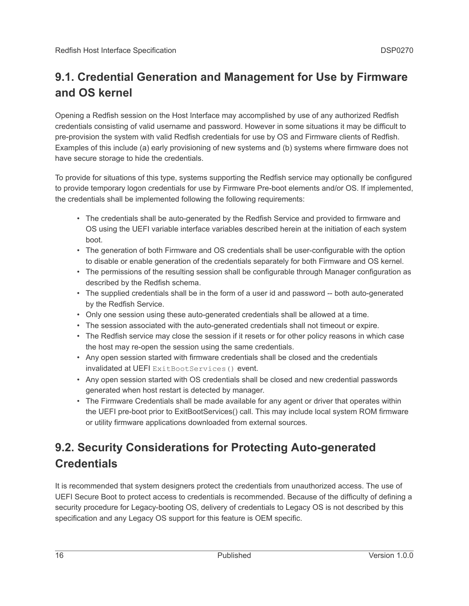## <span id="page-15-0"></span>**9.1. Credential Generation and Management for Use by Firmware and OS kernel**

Opening a Redfish session on the Host Interface may accomplished by use of any authorized Redfish credentials consisting of valid username and password. However in some situations it may be difficult to pre-provision the system with valid Redfish credentials for use by OS and Firmware clients of Redfish. Examples of this include (a) early provisioning of new systems and (b) systems where firmware does not have secure storage to hide the credentials.

To provide for situations of this type, systems supporting the Redfish service may optionally be configured to provide temporary logon credentials for use by Firmware Pre-boot elements and/or OS. If implemented, the credentials shall be implemented following the following requirements:

- The credentials shall be auto-generated by the Redfish Service and provided to firmware and OS using the UEFI variable interface variables described herein at the initiation of each system boot.
- The generation of both Firmware and OS credentials shall be user-configurable with the option to disable or enable generation of the credentials separately for both Firmware and OS kernel.
- The permissions of the resulting session shall be configurable through Manager configuration as described by the Redfish schema.
- The supplied credentials shall be in the form of a user id and password -- both auto-generated by the Redfish Service.
- Only one session using these auto-generated credentials shall be allowed at a time.
- The session associated with the auto-generated credentials shall not timeout or expire.
- The Redfish service may close the session if it resets or for other policy reasons in which case the host may re-open the session using the same credentials.
- Any open session started with firmware credentials shall be closed and the credentials invalidated at UEFI ExitBootServices() event.
- Any open session started with OS credentials shall be closed and new credential passwords generated when host restart is detected by manager.
- The Firmware Credentials shall be made available for any agent or driver that operates within the UEFI pre-boot prior to ExitBootServices() call. This may include local system ROM firmware or utility firmware applications downloaded from external sources.

## <span id="page-15-1"></span>**9.2. Security Considerations for Protecting Auto-generated Credentials**

It is recommended that system designers protect the credentials from unauthorized access. The use of UEFI Secure Boot to protect access to credentials is recommended. Because of the difficulty of defining a security procedure for Legacy-booting OS, delivery of credentials to Legacy OS is not described by this specification and any Legacy OS support for this feature is OEM specific.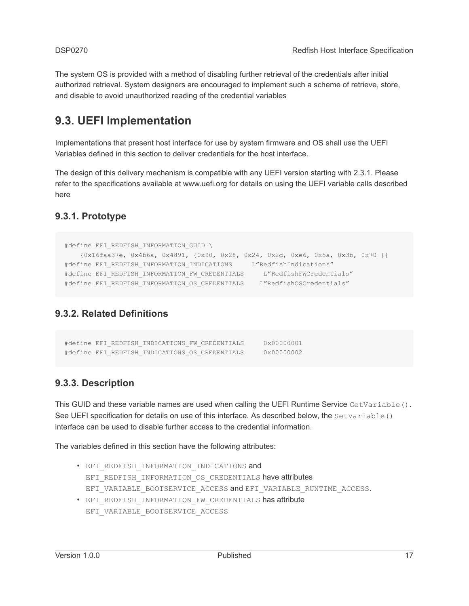The system OS is provided with a method of disabling further retrieval of the credentials after initial authorized retrieval. System designers are encouraged to implement such a scheme of retrieve, store, and disable to avoid unauthorized reading of the credential variables

#### <span id="page-16-0"></span>**9.3. UEFI Implementation**

Implementations that present host interface for use by system firmware and OS shall use the UEFI Variables defined in this section to deliver credentials for the host interface.

The design of this delivery mechanism is compatible with any UEFI version starting with 2.3.1. Please refer to the specifications available at www.uefi.org for details on using the UEFI variable calls described here

#### <span id="page-16-1"></span>**9.3.1. Prototype**

```
#define EFI REDFISH INFORMATION GUID \
   {0x16faa37e, 0x4b6a, 0x4891, {0x90, 0x28, 0x24, 0x2d, 0xe6, 0x5a, 0x3b, 0x70 }}
#define EFI_REDFISH_INFORMATION_INDICATIONS L"RedfishIndications"
#define EFI_REDFISH_INFORMATION FW CREDENTIALS L"RedfishFWCredentials"
#define EFI_REDFISH_INFORMATION_OS_CREDENTIALS L"RedfishOSCredentials"
```
#### <span id="page-16-2"></span>**9.3.2. Related Definitions**

#define EFI\_REDFISH\_INDICATIONS\_FW\_CREDENTIALS 0x000000011 #define EFI\_REDFISH\_INDICATIONS\_OS\_CREDENTIALS 0x00000002

#### <span id="page-16-3"></span>**9.3.3. Description**

This GUID and these variable names are used when calling the UEFI Runtime Service GetVariable(). See UEFI specification for details on use of this interface. As described below, the SetVariable() interface can be used to disable further access to the credential information.

The variables defined in this section have the following attributes:

- EFI REDFISH INFORMATION INDICATIONS and EFI\_REDFISH\_INFORMATION\_OS\_CREDENTIALS have attributes EFI\_VARIABLE\_BOOTSERVICE\_ACCESS and EFI\_VARIABLE\_RUNTIME\_ACCESS.
- EFI\_REDFISH\_INFORMATION\_FW\_CREDENTIALS has attribute EFI\_VARIABLE\_BOOTSERVICE\_ACCESS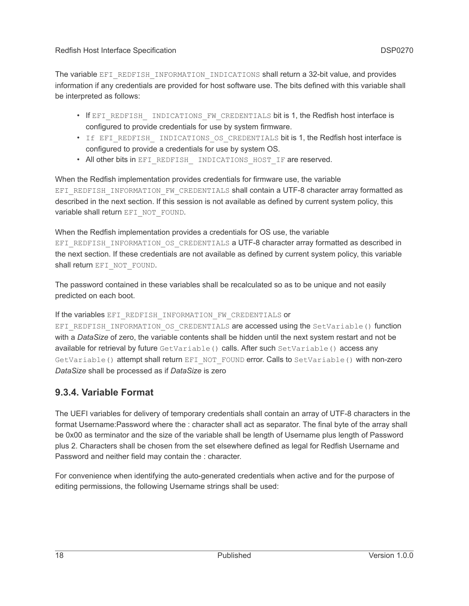The variable EFI\_REDFISH\_INFORMATION\_INDICATIONS shall return a 32-bit value, and provides information if any credentials are provided for host software use. The bits defined with this variable shall be interpreted as follows:

- If EFI\_REDFISH\_ INDICATIONS\_FW\_CREDENTIALS bit is 1, the Redfish host interface is configured to provide credentials for use by system firmware.
- If EFI REDFISH INDICATIONS OS CREDENTIALS bit is 1, the Redfish host interface is configured to provide a credentials for use by system OS.
- All other bits in EFI\_REDFISH\_ INDICATIONS\_HOST\_IF are reserved.

When the Redfish implementation provides credentials for firmware use, the variable EFI\_REDFISH\_INFORMATION\_FW\_CREDENTIALS shall contain a UTF-8 character array formatted as described in the next section. If this session is not available as defined by current system policy, this variable shall return EFI\_NOT\_FOUND.

When the Redfish implementation provides a credentials for OS use, the variable EFI\_REDFISH\_INFORMATION\_OS\_CREDENTIALS a UTF-8 character array formatted as described in the next section. If these credentials are not available as defined by current system policy, this variable shall return EFI\_NOT\_FOUND.

The password contained in these variables shall be recalculated so as to be unique and not easily predicted on each boot.

If the variables EFI\_REDFISH\_INFORMATION\_FW\_CREDENTIALS or

EFI\_REDFISH\_INFORMATION\_OS\_CREDENTIALS are accessed using the SetVariable() function with a *DataSize* of zero, the variable contents shall be hidden until the next system restart and not be available for retrieval by future GetVariable() calls. After such SetVariable() access any GetVariable() attempt shall return EFI\_NOT\_FOUND error. Calls to SetVariable() with non-zero *DataSize* shall be processed as if *DataSize* is zero

#### <span id="page-17-0"></span>**9.3.4. Variable Format**

The UEFI variables for delivery of temporary credentials shall contain an array of UTF-8 characters in the format Username:Password where the : character shall act as separator. The final byte of the array shall be 0x00 as terminator and the size of the variable shall be length of Username plus length of Password plus 2. Characters shall be chosen from the set elsewhere defined as legal for Redfish Username and Password and neither field may contain the : character.

For convenience when identifying the auto-generated credentials when active and for the purpose of editing permissions, the following Username strings shall be used: